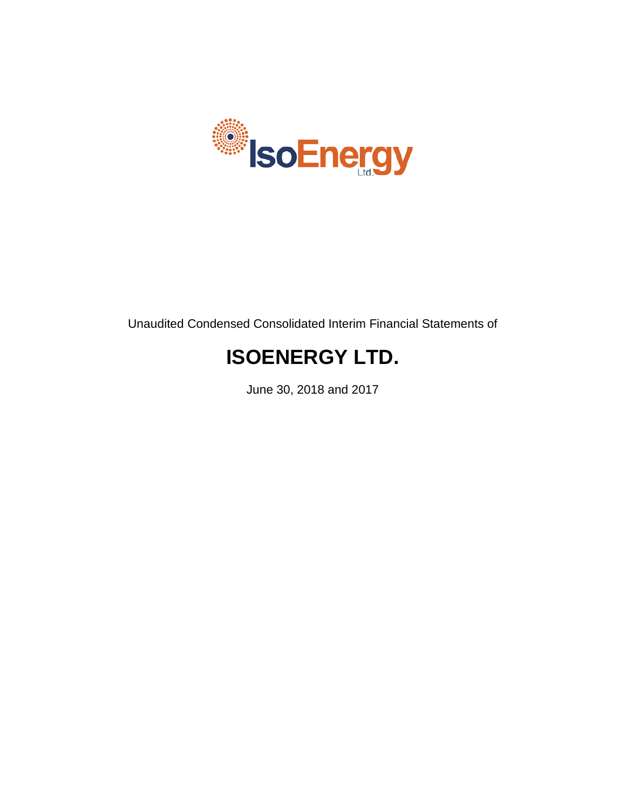

Unaudited Condensed Consolidated Interim Financial Statements of

# **ISOENERGY LTD.**

June 30, 2018 and 2017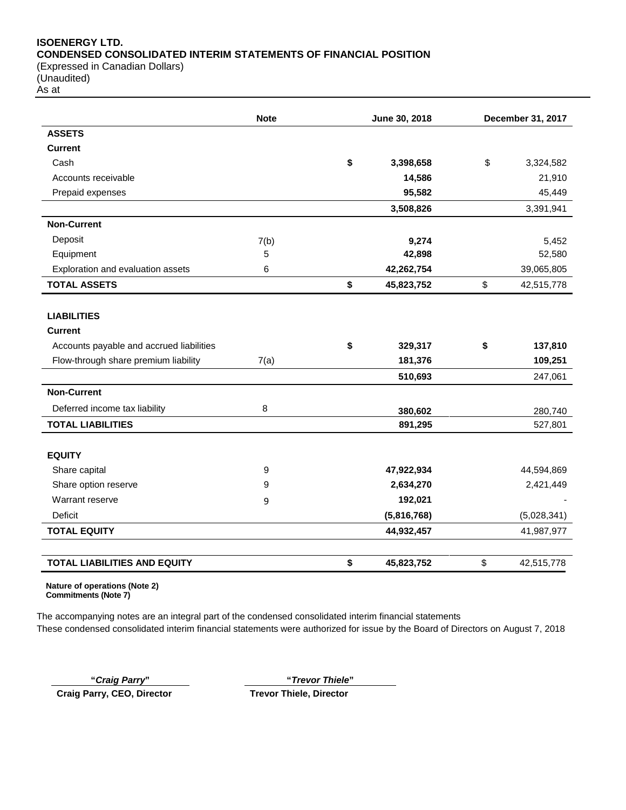## **ISOENERGY LTD. CONDENSED CONSOLIDATED INTERIM STATEMENTS OF FINANCIAL POSITION** (Expressed in Canadian Dollars)

(Unaudited)

As at

|                                          | <b>Note</b> |    | June 30, 2018 | December 31, 2017 |             |  |
|------------------------------------------|-------------|----|---------------|-------------------|-------------|--|
| <b>ASSETS</b>                            |             |    |               |                   |             |  |
| <b>Current</b>                           |             |    |               |                   |             |  |
| Cash                                     |             | \$ | 3,398,658     | \$                | 3,324,582   |  |
| Accounts receivable                      |             |    | 14,586        |                   | 21,910      |  |
| Prepaid expenses                         |             |    | 95,582        |                   | 45,449      |  |
|                                          |             |    | 3,508,826     |                   | 3,391,941   |  |
| <b>Non-Current</b>                       |             |    |               |                   |             |  |
| Deposit                                  | 7(b)        |    | 9,274         |                   | 5,452       |  |
| Equipment                                | 5           |    | 42,898        |                   | 52,580      |  |
| Exploration and evaluation assets        | 6           |    | 42,262,754    |                   | 39,065,805  |  |
| <b>TOTAL ASSETS</b>                      |             | \$ | 45,823,752    | \$                | 42,515,778  |  |
| <b>LIABILITIES</b>                       |             |    |               |                   |             |  |
| <b>Current</b>                           |             |    |               |                   |             |  |
| Accounts payable and accrued liabilities |             | \$ | 329,317       | \$                | 137,810     |  |
| Flow-through share premium liability     | 7(a)        |    | 181,376       |                   | 109,251     |  |
|                                          |             |    | 510,693       |                   | 247,061     |  |
| <b>Non-Current</b>                       |             |    |               |                   |             |  |
| Deferred income tax liability            | 8           |    | 380,602       |                   | 280,740     |  |
| <b>TOTAL LIABILITIES</b>                 |             |    | 891,295       |                   | 527,801     |  |
| <b>EQUITY</b>                            |             |    |               |                   |             |  |
| Share capital                            | 9           |    | 47,922,934    |                   | 44,594,869  |  |
| Share option reserve                     | 9           |    | 2,634,270     |                   | 2,421,449   |  |
| Warrant reserve                          | 9           |    | 192,021       |                   |             |  |
| <b>Deficit</b>                           |             |    | (5,816,768)   |                   | (5,028,341) |  |
| <b>TOTAL EQUITY</b>                      |             |    | 44,932,457    |                   | 41,987,977  |  |
|                                          |             |    |               |                   |             |  |
| <b>TOTAL LIABILITIES AND EQUITY</b>      |             | \$ | 45,823,752    | \$                | 42,515,778  |  |

**Nature of operations (Note 2) Commitments (Note 7)**

The accompanying notes are an integral part of the condensed consolidated interim financial statements These condensed consolidated interim financial statements were authorized for issue by the Board of Directors on August 7, 2018

**Craig Parry, CEO, Director Trevor Thiele, Director**

**"***Craig Parry***" "***Trevor Thiele***"**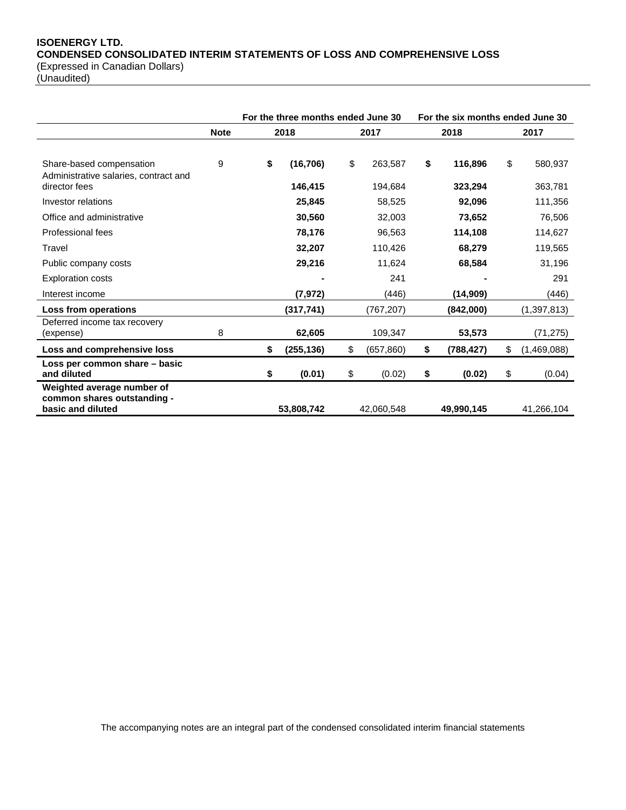## **ISOENERGY LTD. CONDENSED CONSOLIDATED INTERIM STATEMENTS OF LOSS AND COMPREHENSIVE LOSS** (Expressed in Canadian Dollars)

(Unaudited)

|                                                                   |             |                  | For the three months ended June 30 |    |            |      | For the six months ended June 30 |  |
|-------------------------------------------------------------------|-------------|------------------|------------------------------------|----|------------|------|----------------------------------|--|
|                                                                   | <b>Note</b> | 2018             | 2017                               |    | 2018       | 2017 |                                  |  |
|                                                                   |             |                  |                                    |    |            |      |                                  |  |
| Share-based compensation<br>Administrative salaries, contract and | 9           | \$<br>(16, 706)  | \$<br>263,587                      | \$ | 116,896    | \$   | 580,937                          |  |
| director fees                                                     |             | 146,415          | 194,684                            |    | 323,294    |      | 363,781                          |  |
| Investor relations                                                |             | 25,845           | 58,525                             |    | 92,096     |      | 111,356                          |  |
| Office and administrative                                         |             | 30,560           | 32,003                             |    | 73,652     |      | 76,506                           |  |
| <b>Professional fees</b>                                          |             | 78,176           | 96,563                             |    | 114,108    |      | 114,627                          |  |
| Travel                                                            |             | 32,207           | 110,426                            |    | 68,279     |      | 119,565                          |  |
| Public company costs                                              |             | 29,216           | 11,624                             |    | 68,584     |      | 31,196                           |  |
| <b>Exploration costs</b>                                          |             |                  | 241                                |    |            |      | 291                              |  |
| Interest income                                                   |             | (7, 972)         | (446)                              |    | (14, 909)  |      | (446)                            |  |
| Loss from operations                                              |             | (317, 741)       | (767, 207)                         |    | (842,000)  |      | (1,397,813)                      |  |
| Deferred income tax recovery<br>(expense)                         | 8           | 62,605           | 109,347                            |    | 53,573     |      | (71, 275)                        |  |
| Loss and comprehensive loss                                       |             | \$<br>(255, 136) | \$<br>(657, 860)                   | \$ | (788, 427) | \$   | (1,469,088)                      |  |
| Loss per common share - basic<br>and diluted                      |             | \$<br>(0.01)     | \$<br>(0.02)                       | \$ | (0.02)     | \$   | (0.04)                           |  |
| Weighted average number of<br>common shares outstanding -         |             |                  |                                    |    |            |      |                                  |  |
| basic and diluted                                                 |             | 53,808,742       | 42,060,548                         |    | 49,990,145 |      | 41,266,104                       |  |

The accompanying notes are an integral part of the condensed consolidated interim financial statements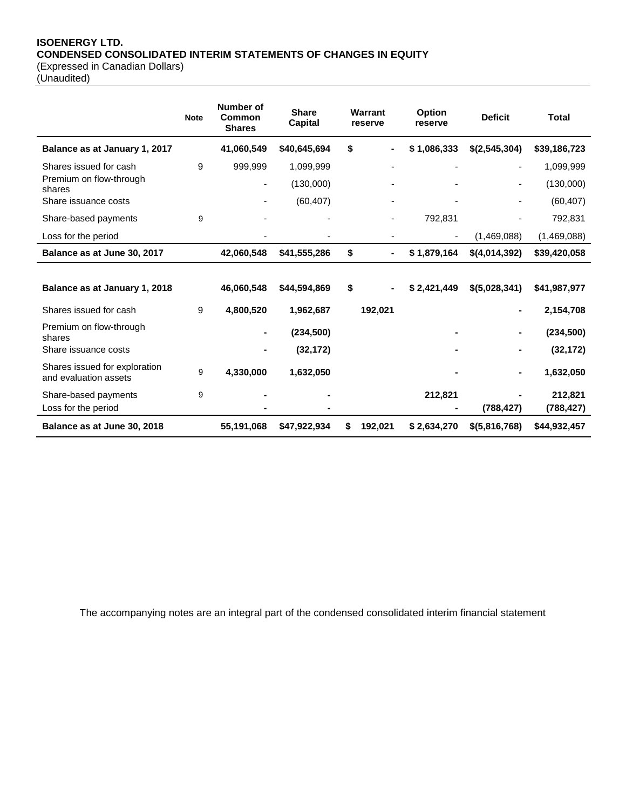## **ISOENERGY LTD. CONDENSED CONSOLIDATED INTERIM STATEMENTS OF CHANGES IN EQUITY** (Expressed in Canadian Dollars)

(Unaudited)

|                                                        | <b>Note</b> | Number of<br>Common<br><b>Shares</b> | <b>Share</b><br><b>Capital</b> | Warrant<br>reserve |         | <b>Option</b><br>reserve | <b>Deficit</b> | <b>Total</b> |
|--------------------------------------------------------|-------------|--------------------------------------|--------------------------------|--------------------|---------|--------------------------|----------------|--------------|
| Balance as at January 1, 2017                          |             | 41,060,549                           | \$40,645,694                   | \$                 |         | \$1,086,333              | \$(2,545,304)  | \$39,186,723 |
| Shares issued for cash                                 | 9           | 999,999                              | 1,099,999                      |                    |         |                          |                | 1,099,999    |
| Premium on flow-through<br>shares                      |             | $\blacksquare$                       | (130,000)                      |                    |         |                          |                | (130,000)    |
| Share issuance costs                                   |             |                                      | (60, 407)                      |                    |         |                          |                | (60, 407)    |
| Share-based payments                                   | 9           |                                      |                                |                    |         | 792,831                  |                | 792,831      |
| Loss for the period                                    |             |                                      |                                |                    |         |                          | (1,469,088)    | (1,469,088)  |
| Balance as at June 30, 2017                            |             | 42,060,548                           | \$41,555,286                   | \$                 |         | \$1,879,164              | \$(4,014,392)  | \$39,420,058 |
|                                                        |             |                                      |                                |                    |         |                          |                |              |
| Balance as at January 1, 2018                          |             | 46,060,548                           | \$44,594,869                   | \$                 |         | \$2,421,449              | \$(5,028,341)  | \$41,987,977 |
| Shares issued for cash                                 | 9           | 4,800,520                            | 1,962,687                      |                    | 192,021 |                          |                | 2,154,708    |
| Premium on flow-through<br>shares                      |             |                                      | (234, 500)                     |                    |         |                          |                | (234, 500)   |
| Share issuance costs                                   |             |                                      | (32, 172)                      |                    |         |                          |                | (32, 172)    |
| Shares issued for exploration<br>and evaluation assets | 9           | 4,330,000                            | 1,632,050                      |                    |         |                          |                | 1,632,050    |
| Share-based payments                                   | 9           |                                      |                                |                    |         | 212,821                  |                | 212,821      |
| Loss for the period                                    |             |                                      |                                |                    |         |                          | (788, 427)     | (788, 427)   |
| Balance as at June 30, 2018                            |             | 55,191,068                           | \$47,922,934                   |                    | 192,021 | \$2,634,270              | \$(5,816,768)  | \$44,932,457 |

The accompanying notes are an integral part of the condensed consolidated interim financial statement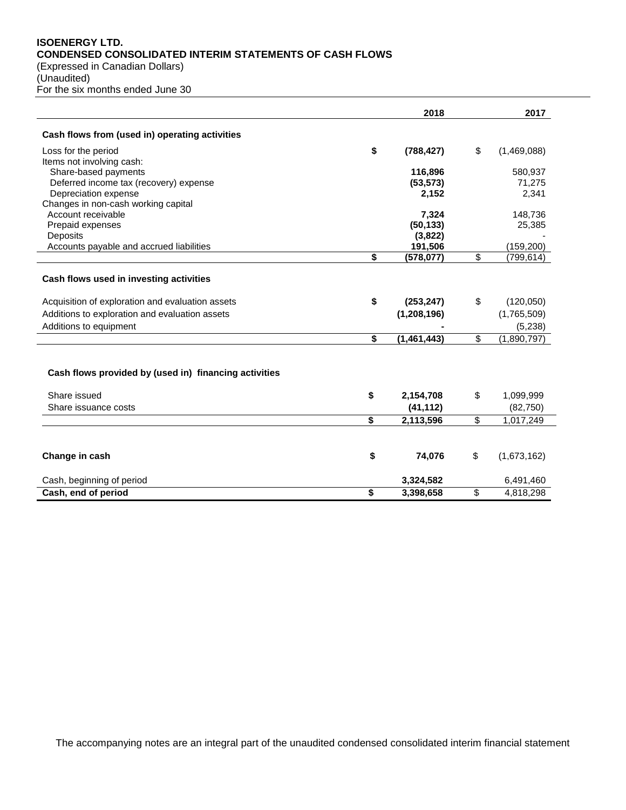## **ISOENERGY LTD. CONDENSED CONSOLIDATED INTERIM STATEMENTS OF CASH FLOWS**

(Expressed in Canadian Dollars) (Unaudited)

For the six months ended June 30

|                                                       | 2018               | 2017              |
|-------------------------------------------------------|--------------------|-------------------|
| Cash flows from (used in) operating activities        |                    |                   |
| Loss for the period                                   | \$<br>(788, 427)   | \$<br>(1,469,088) |
| Items not involving cash:                             |                    |                   |
| Share-based payments                                  | 116,896            | 580,937           |
| Deferred income tax (recovery) expense                | (53, 573)          | 71,275            |
| Depreciation expense                                  | 2,152              | 2,341             |
| Changes in non-cash working capital                   |                    |                   |
| Account receivable<br>Prepaid expenses                | 7,324<br>(50, 133) | 148,736<br>25,385 |
| Deposits                                              | (3,822)            |                   |
| Accounts payable and accrued liabilities              | 191,506            | (159, 200)        |
|                                                       | \$<br>(578, 077)   | \$<br>(799,614)   |
|                                                       |                    |                   |
| Cash flows used in investing activities               |                    |                   |
| Acquisition of exploration and evaluation assets      | \$<br>(253, 247)   | \$<br>(120,050)   |
| Additions to exploration and evaluation assets        | (1, 208, 196)      | (1,765,509)       |
| Additions to equipment                                |                    | (5, 238)          |
|                                                       | \$<br>(1,461,443)  | \$<br>(1,890,797) |
|                                                       |                    |                   |
| Cash flows provided by (used in) financing activities |                    |                   |
| Share issued                                          | \$<br>2,154,708    | \$<br>1,099,999   |
| Share issuance costs                                  | (41, 112)          | (82, 750)         |
|                                                       | \$<br>2,113,596    | \$<br>1,017,249   |
|                                                       |                    |                   |
| Change in cash                                        | \$<br>74,076       | \$<br>(1,673,162) |
| Cash, beginning of period                             | 3,324,582          | 6,491,460         |
| Cash, end of period                                   | \$<br>3,398,658    | \$<br>4,818,298   |

The accompanying notes are an integral part of the unaudited condensed consolidated interim financial statement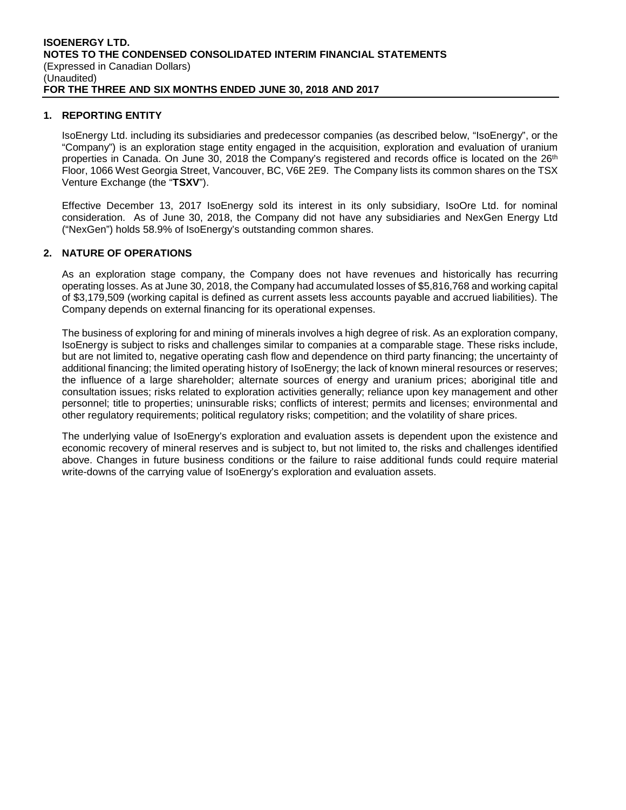## **1. REPORTING ENTITY**

IsoEnergy Ltd. including its subsidiaries and predecessor companies (as described below, "IsoEnergy", or the "Company") is an exploration stage entity engaged in the acquisition, exploration and evaluation of uranium properties in Canada. On June 30, 2018 the Company's registered and records office is located on the 26<sup>th</sup> Floor, 1066 West Georgia Street, Vancouver, BC, V6E 2E9. The Company lists its common shares on the TSX Venture Exchange (the "**TSXV**").

Effective December 13, 2017 IsoEnergy sold its interest in its only subsidiary, IsoOre Ltd. for nominal consideration. As of June 30, 2018, the Company did not have any subsidiaries and NexGen Energy Ltd ("NexGen") holds 58.9% of IsoEnergy's outstanding common shares.

## **2. NATURE OF OPERATIONS**

As an exploration stage company, the Company does not have revenues and historically has recurring operating losses. As at June 30, 2018, the Company had accumulated losses of \$5,816,768 and working capital of \$3,179,509 (working capital is defined as current assets less accounts payable and accrued liabilities). The Company depends on external financing for its operational expenses.

The business of exploring for and mining of minerals involves a high degree of risk. As an exploration company, IsoEnergy is subject to risks and challenges similar to companies at a comparable stage. These risks include, but are not limited to, negative operating cash flow and dependence on third party financing; the uncertainty of additional financing; the limited operating history of IsoEnergy; the lack of known mineral resources or reserves; the influence of a large shareholder; alternate sources of energy and uranium prices; aboriginal title and consultation issues; risks related to exploration activities generally; reliance upon key management and other personnel; title to properties; uninsurable risks; conflicts of interest; permits and licenses; environmental and other regulatory requirements; political regulatory risks; competition; and the volatility of share prices.

The underlying value of IsoEnergy's exploration and evaluation assets is dependent upon the existence and economic recovery of mineral reserves and is subject to, but not limited to, the risks and challenges identified above. Changes in future business conditions or the failure to raise additional funds could require material write-downs of the carrying value of IsoEnergy's exploration and evaluation assets.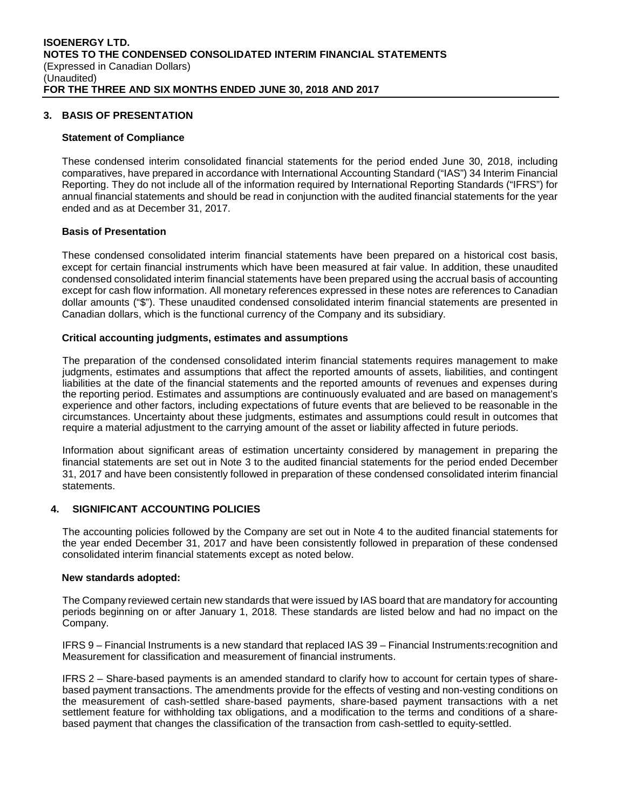## **3. BASIS OF PRESENTATION**

#### **Statement of Compliance**

These condensed interim consolidated financial statements for the period ended June 30, 2018, including comparatives, have prepared in accordance with International Accounting Standard ("IAS") 34 Interim Financial Reporting. They do not include all of the information required by International Reporting Standards ("IFRS") for annual financial statements and should be read in conjunction with the audited financial statements for the year ended and as at December 31, 2017.

#### **Basis of Presentation**

These condensed consolidated interim financial statements have been prepared on a historical cost basis, except for certain financial instruments which have been measured at fair value. In addition, these unaudited condensed consolidated interim financial statements have been prepared using the accrual basis of accounting except for cash flow information. All monetary references expressed in these notes are references to Canadian dollar amounts ("\$"). These unaudited condensed consolidated interim financial statements are presented in Canadian dollars, which is the functional currency of the Company and its subsidiary.

#### **Critical accounting judgments, estimates and assumptions**

The preparation of the condensed consolidated interim financial statements requires management to make judgments, estimates and assumptions that affect the reported amounts of assets, liabilities, and contingent liabilities at the date of the financial statements and the reported amounts of revenues and expenses during the reporting period. Estimates and assumptions are continuously evaluated and are based on management's experience and other factors, including expectations of future events that are believed to be reasonable in the circumstances. Uncertainty about these judgments, estimates and assumptions could result in outcomes that require a material adjustment to the carrying amount of the asset or liability affected in future periods.

Information about significant areas of estimation uncertainty considered by management in preparing the financial statements are set out in Note 3 to the audited financial statements for the period ended December 31, 2017 and have been consistently followed in preparation of these condensed consolidated interim financial statements.

#### **4. SIGNIFICANT ACCOUNTING POLICIES**

The accounting policies followed by the Company are set out in Note 4 to the audited financial statements for the year ended December 31, 2017 and have been consistently followed in preparation of these condensed consolidated interim financial statements except as noted below.

#### **New standards adopted:**

The Company reviewed certain new standards that were issued by IAS board that are mandatory for accounting periods beginning on or after January 1, 2018. These standards are listed below and had no impact on the Company.

IFRS 9 – Financial Instruments is a new standard that replaced IAS 39 – Financial Instruments:recognition and Measurement for classification and measurement of financial instruments.

IFRS 2 – Share-based payments is an amended standard to clarify how to account for certain types of sharebased payment transactions. The amendments provide for the effects of vesting and non-vesting conditions on the measurement of cash-settled share-based payments, share-based payment transactions with a net settlement feature for withholding tax obligations, and a modification to the terms and conditions of a sharebased payment that changes the classification of the transaction from cash-settled to equity-settled.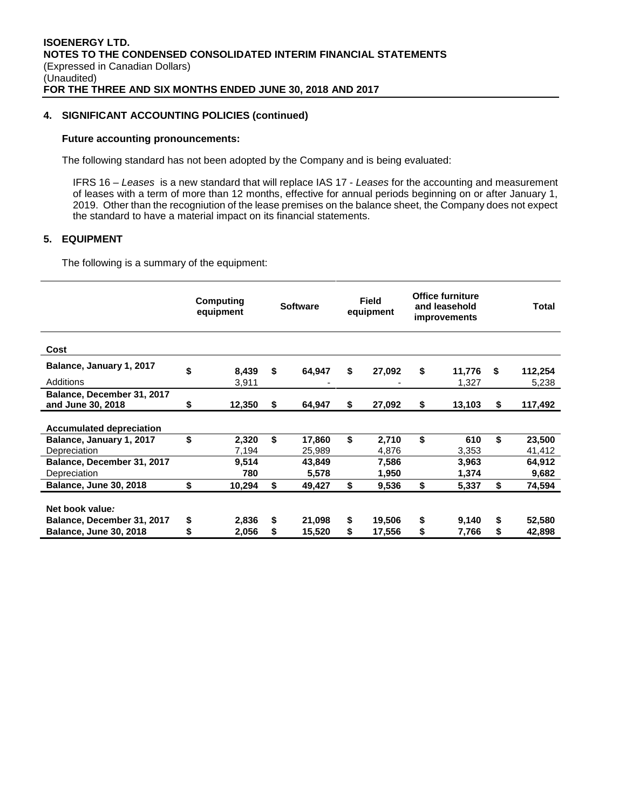## **4. SIGNIFICANT ACCOUNTING POLICIES (continued)**

#### **Future accounting pronouncements:**

The following standard has not been adopted by the Company and is being evaluated:

IFRS 16 – *Leases* is a new standard that will replace IAS 17 - *Leases* for the accounting and measurement of leases with a term of more than 12 months, effective for annual periods beginning on or after January 1, 2019. Other than the recogniution of the lease premises on the balance sheet, the Company does not expect the standard to have a material impact on its financial statements.

## **5. EQUIPMENT**

The following is a summary of the equipment:

|                                                 |    | Computing<br>equipment |    | <b>Software</b> | <b>Field</b><br>equipment | <b>Office furniture</b><br>and leasehold<br>improvements |      | <b>Total</b> |
|-------------------------------------------------|----|------------------------|----|-----------------|---------------------------|----------------------------------------------------------|------|--------------|
| Cost                                            |    |                        |    |                 |                           |                                                          |      |              |
| Balance, January 1, 2017                        | \$ | 8,439                  | \$ | 64,947          | \$<br>27,092              | \$<br>11,776                                             | - \$ | 112,254      |
| Additions                                       |    | 3,911                  |    |                 |                           | 1,327                                                    |      | 5,238        |
| Balance, December 31, 2017<br>and June 30, 2018 | S  | 12,350                 | S. | 64,947          | \$<br>27,092              | \$<br>13,103                                             | \$   | 117,492      |
|                                                 |    |                        |    |                 |                           |                                                          |      |              |
| <b>Accumulated depreciation</b>                 |    |                        |    |                 |                           |                                                          |      |              |
| Balance, January 1, 2017                        | \$ | 2,320                  | \$ | 17,860          | \$<br>2,710               | \$<br>610                                                | \$   | 23,500       |
| Depreciation                                    |    | 7,194                  |    | 25,989          | 4,876                     | 3,353                                                    |      | 41,412       |
| Balance, December 31, 2017                      |    | 9,514                  |    | 43,849          | 7,586                     | 3,963                                                    |      | 64,912       |
| Depreciation                                    |    | 780                    |    | 5,578           | 1,950                     | 1,374                                                    |      | 9,682        |
| <b>Balance, June 30, 2018</b>                   | \$ | 10,294                 | \$ | 49,427          | \$<br>9,536               | \$<br>5,337                                              | \$   | 74,594       |
|                                                 |    |                        |    |                 |                           |                                                          |      |              |
| Net book value:                                 |    |                        |    |                 |                           |                                                          |      |              |
| Balance, December 31, 2017                      | \$ | 2,836                  | S  | 21,098          | \$<br>19,506              | \$<br>9,140                                              | \$   | 52,580       |
| <b>Balance, June 30, 2018</b>                   | \$ | 2,056                  | \$ | 15,520          | \$<br>17,556              | \$<br>7,766                                              | \$   | 42,898       |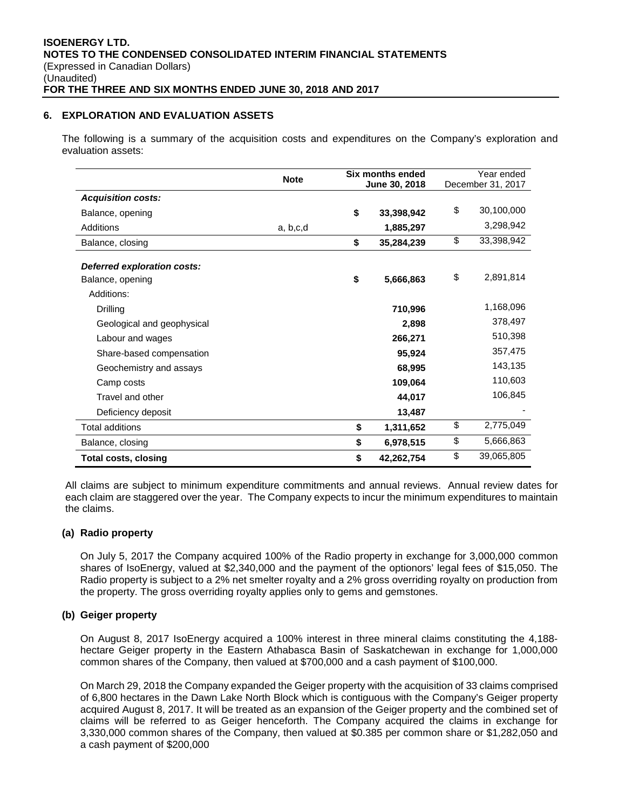## **6. EXPLORATION AND EVALUATION ASSETS**

The following is a summary of the acquisition costs and expenditures on the Company's exploration and evaluation assets:

|                             | <b>Note</b> | Six months ended |    | Year ended        |
|-----------------------------|-------------|------------------|----|-------------------|
| <b>Acquisition costs:</b>   |             | June 30, 2018    |    | December 31, 2017 |
|                             |             |                  | \$ | 30,100,000        |
| Balance, opening            |             | \$<br>33,398,942 |    |                   |
| Additions                   | a, b, c, d  | 1,885,297        |    | 3,298,942         |
| Balance, closing            |             | \$<br>35,284,239 | \$ | 33,398,942        |
| Deferred exploration costs: |             |                  |    |                   |
| Balance, opening            |             | \$<br>5,666,863  | \$ | 2,891,814         |
| Additions:                  |             |                  |    |                   |
| Drilling                    |             | 710,996          |    | 1,168,096         |
| Geological and geophysical  |             | 2,898            |    | 378,497           |
| Labour and wages            |             | 266,271          |    | 510,398           |
| Share-based compensation    |             | 95,924           |    | 357,475           |
| Geochemistry and assays     |             | 68,995           |    | 143,135           |
| Camp costs                  |             | 109,064          |    | 110,603           |
| Travel and other            |             | 44,017           |    | 106,845           |
| Deficiency deposit          |             | 13,487           |    |                   |
| Total additions             |             | \$<br>1,311,652  | \$ | 2,775,049         |
| Balance, closing            |             | \$<br>6,978,515  | \$ | 5,666,863         |
| Total costs, closing        |             | \$<br>42,262,754 | \$ | 39,065,805        |

All claims are subject to minimum expenditure commitments and annual reviews. Annual review dates for each claim are staggered over the year. The Company expects to incur the minimum expenditures to maintain the claims.

#### **(a) Radio property**

On July 5, 2017 the Company acquired 100% of the Radio property in exchange for 3,000,000 common shares of IsoEnergy, valued at \$2,340,000 and the payment of the optionors' legal fees of \$15,050. The Radio property is subject to a 2% net smelter royalty and a 2% gross overriding royalty on production from the property. The gross overriding royalty applies only to gems and gemstones.

#### **(b) Geiger property**

On August 8, 2017 IsoEnergy acquired a 100% interest in three mineral claims constituting the 4,188 hectare Geiger property in the Eastern Athabasca Basin of Saskatchewan in exchange for 1,000,000 common shares of the Company, then valued at \$700,000 and a cash payment of \$100,000.

On March 29, 2018 the Company expanded the Geiger property with the acquisition of 33 claims comprised of 6,800 hectares in the Dawn Lake North Block which is contiguous with the Company's Geiger property acquired August 8, 2017. It will be treated as an expansion of the Geiger property and the combined set of claims will be referred to as Geiger henceforth. The Company acquired the claims in exchange for 3,330,000 common shares of the Company, then valued at \$0.385 per common share or \$1,282,050 and a cash payment of \$200,000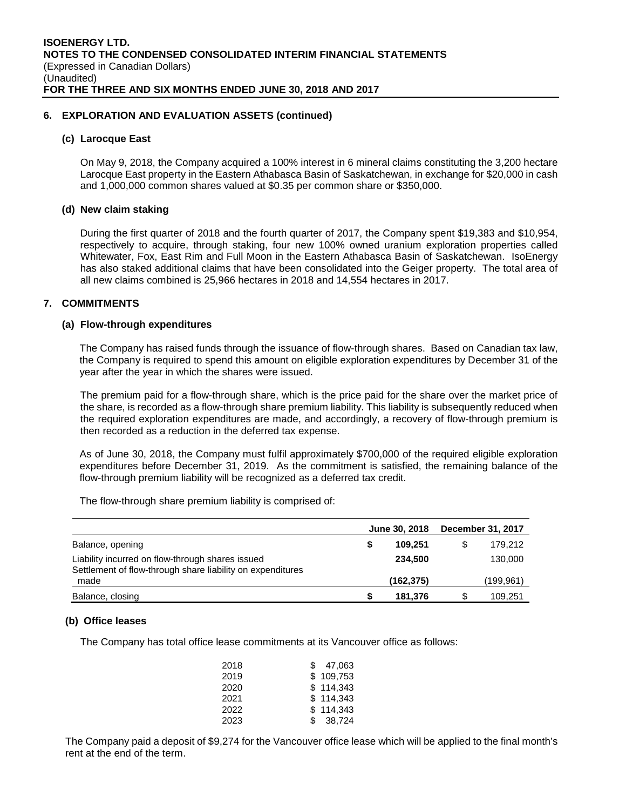## **6. EXPLORATION AND EVALUATION ASSETS (continued)**

#### **(c) Larocque East**

On May 9, 2018, the Company acquired a 100% interest in 6 mineral claims constituting the 3,200 hectare Larocque East property in the Eastern Athabasca Basin of Saskatchewan, in exchange for \$20,000 in cash and 1,000,000 common shares valued at \$0.35 per common share or \$350,000.

#### **(d) New claim staking**

During the first quarter of 2018 and the fourth quarter of 2017, the Company spent \$19,383 and \$10,954, respectively to acquire, through staking, four new 100% owned uranium exploration properties called Whitewater, Fox, East Rim and Full Moon in the Eastern Athabasca Basin of Saskatchewan. IsoEnergy has also staked additional claims that have been consolidated into the Geiger property. The total area of all new claims combined is 25,966 hectares in 2018 and 14,554 hectares in 2017.

## **7. COMMITMENTS**

#### **(a) Flow-through expenditures**

The Company has raised funds through the issuance of flow-through shares. Based on Canadian tax law, the Company is required to spend this amount on eligible exploration expenditures by December 31 of the year after the year in which the shares were issued.

The premium paid for a flow-through share, which is the price paid for the share over the market price of the share, is recorded as a flow-through share premium liability. This liability is subsequently reduced when the required exploration expenditures are made, and accordingly, a recovery of flow-through premium is then recorded as a reduction in the deferred tax expense.

As of June 30, 2018, the Company must fulfil approximately \$700,000 of the required eligible exploration expenditures before December 31, 2019. As the commitment is satisfied, the remaining balance of the flow-through premium liability will be recognized as a deferred tax credit.

The flow-through share premium liability is comprised of:

|                                                                                                                |   | June 30, 2018 | December 31, 2017 |
|----------------------------------------------------------------------------------------------------------------|---|---------------|-------------------|
| Balance, opening                                                                                               |   | 109.251       | \$<br>179.212     |
| Liability incurred on flow-through shares issued<br>Settlement of flow-through share liability on expenditures |   | 234.500       | 130,000           |
| made                                                                                                           |   | (162, 375)    | (199,961)         |
| Balance, closing                                                                                               | S | 181.376       | \$<br>109.251     |

#### **(b) Office leases**

The Company has total office lease commitments at its Vancouver office as follows:

| 2018 | 47.063<br>S. |
|------|--------------|
| 2019 | \$109.753    |
| 2020 | \$114.343    |
| 2021 | \$114.343    |
| 2022 | \$114.343    |
| 2023 | \$38.724     |

The Company paid a deposit of \$9,274 for the Vancouver office lease which will be applied to the final month's rent at the end of the term.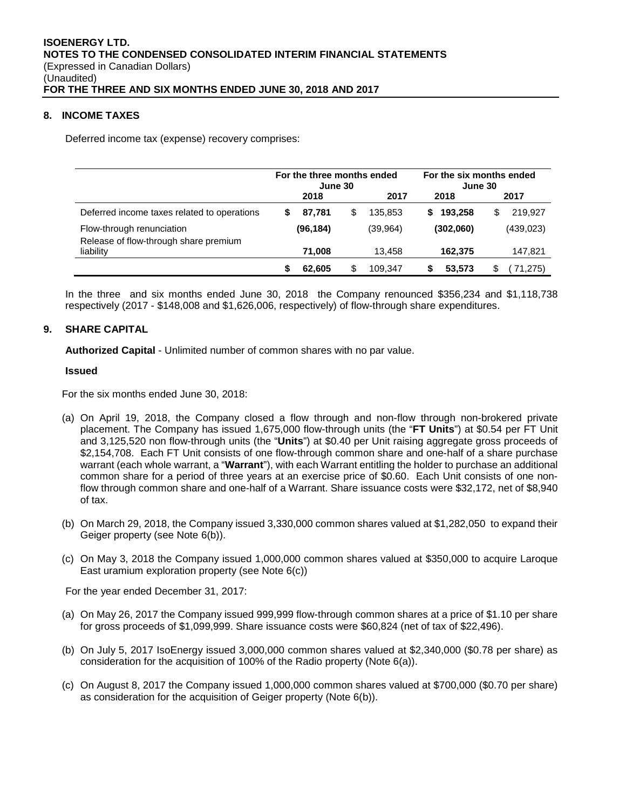## **8. INCOME TAXES**

Deferred income tax (expense) recovery comprises:

|                                                                    | For the three months ended<br>June 30 |           |   |          | For the six months ended<br>June 30 |            |  |
|--------------------------------------------------------------------|---------------------------------------|-----------|---|----------|-------------------------------------|------------|--|
|                                                                    |                                       | 2018      |   | 2017     | 2018                                | 2017       |  |
| Deferred income taxes related to operations                        | S                                     | 87.781    | S | 135.853  | 193.258<br>S                        | 219.927    |  |
| Flow-through renunciation<br>Release of flow-through share premium |                                       | (96, 184) |   | (39,964) | (302,060)                           | (439, 023) |  |
| liability                                                          |                                       | 71,008    |   | 13.458   | 162,375                             | 147,821    |  |
|                                                                    |                                       | 62,605    |   | 109.347  | 53,573                              | 71,275)    |  |

In the three and six months ended June 30, 2018 the Company renounced \$356,234 and \$1,118,738 respectively (2017 - \$148,008 and \$1,626,006, respectively) of flow-through share expenditures.

## **9. SHARE CAPITAL**

**Authorized Capital** - Unlimited number of common shares with no par value.

#### **Issued**

For the six months ended June 30, 2018:

- (a) On April 19, 2018, the Company closed a flow through and non-flow through non-brokered private placement. The Company has issued 1,675,000 flow-through units (the "**FT Units**") at \$0.54 per FT Unit and 3,125,520 non flow-through units (the "**Units**") at \$0.40 per Unit raising aggregate gross proceeds of \$2,154,708. Each FT Unit consists of one flow-through common share and one-half of a share purchase warrant (each whole warrant, a "**Warrant**"), with each Warrant entitling the holder to purchase an additional common share for a period of three years at an exercise price of \$0.60. Each Unit consists of one nonflow through common share and one-half of a Warrant. Share issuance costs were \$32,172, net of \$8,940 of tax.
- (b) On March 29, 2018, the Company issued 3,330,000 common shares valued at \$1,282,050 to expand their Geiger property (see Note 6(b)).
- (c) On May 3, 2018 the Company issued 1,000,000 common shares valued at \$350,000 to acquire Laroque East uramium exploration property (see Note 6(c))

For the year ended December 31, 2017:

- (a) On May 26, 2017 the Company issued 999,999 flow-through common shares at a price of \$1.10 per share for gross proceeds of \$1,099,999. Share issuance costs were \$60,824 (net of tax of \$22,496).
- (b) On July 5, 2017 IsoEnergy issued 3,000,000 common shares valued at \$2,340,000 (\$0.78 per share) as consideration for the acquisition of 100% of the Radio property (Note 6(a)).
- (c) On August 8, 2017 the Company issued 1,000,000 common shares valued at \$700,000 (\$0.70 per share) as consideration for the acquisition of Geiger property (Note 6(b)).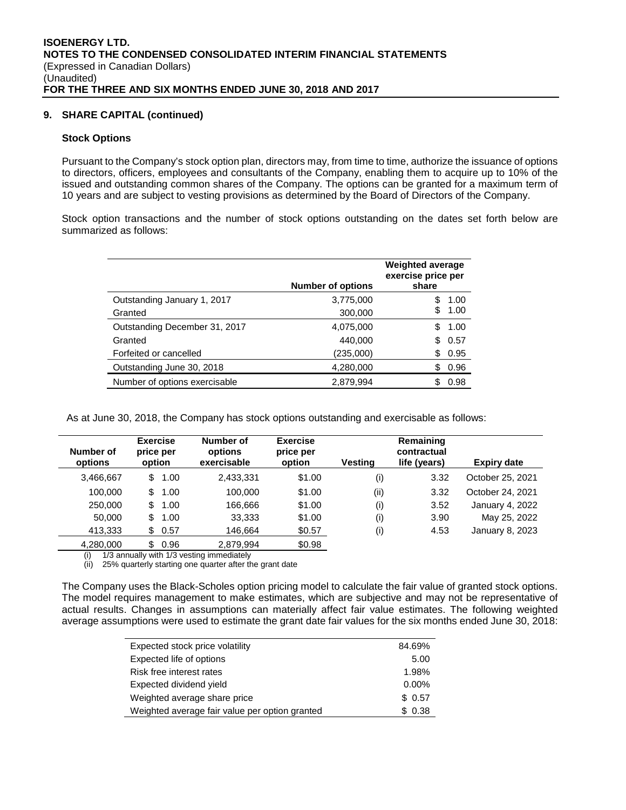## **9. SHARE CAPITAL (continued)**

#### **Stock Options**

Pursuant to the Company's stock option plan, directors may, from time to time, authorize the issuance of options to directors, officers, employees and consultants of the Company, enabling them to acquire up to 10% of the issued and outstanding common shares of the Company. The options can be granted for a maximum term of 10 years and are subject to vesting provisions as determined by the Board of Directors of the Company.

Stock option transactions and the number of stock options outstanding on the dates set forth below are summarized as follows:

|                               | <b>Number of options</b> | <b>Weighted average</b><br>exercise price per<br>share |
|-------------------------------|--------------------------|--------------------------------------------------------|
| Outstanding January 1, 2017   | 3,775,000                | 1.00                                                   |
| Granted                       | 300,000                  | 1.00                                                   |
| Outstanding December 31, 2017 | 4,075,000                | 1.00                                                   |
| Granted                       | 440,000                  | 0.57<br>\$.                                            |
| Forfeited or cancelled        | (235,000)                | 0.95<br>S.                                             |
| Outstanding June 30, 2018     | 4,280,000                | 0.96<br>\$                                             |
| Number of options exercisable | 2,879,994                | 0.98                                                   |

As at June 30, 2018, the Company has stock options outstanding and exercisable as follows:

| Number of<br>options | <b>Exercise</b><br>price per<br>option |      | Number of<br>options<br>exercisable | <b>Exercise</b><br>price per<br>option | Vestina | Remaining<br>contractual<br>life (years) | <b>Expiry date</b> |
|----------------------|----------------------------------------|------|-------------------------------------|----------------------------------------|---------|------------------------------------------|--------------------|
| 3,466,667            | \$                                     | 1.00 | 2,433,331                           | \$1.00                                 | (i)     | 3.32                                     | October 25, 2021   |
| 100.000              | \$                                     | 1.00 | 100.000                             | \$1.00                                 | (i)     | 3.32                                     | October 24, 2021   |
| 250,000              | \$                                     | 1.00 | 166,666                             | \$1.00                                 | (i)     | 3.52                                     | January 4, 2022    |
| 50,000               | \$                                     | 1.00 | 33,333                              | \$1.00                                 | (i)     | 3.90                                     | May 25, 2022       |
| 413,333              | \$.                                    | 0.57 | 146.664                             | \$0.57                                 | (i)     | 4.53                                     | January 8, 2023    |
| 4,280,000            | \$                                     | 0.96 | 2.879.994                           | \$0.98                                 |         |                                          |                    |

(i) 1/3 annually with 1/3 vesting immediately

(ii) 25% quarterly starting one quarter after the grant date

The Company uses the Black-Scholes option pricing model to calculate the fair value of granted stock options. The model requires management to make estimates, which are subjective and may not be representative of actual results. Changes in assumptions can materially affect fair value estimates. The following weighted average assumptions were used to estimate the grant date fair values for the six months ended June 30, 2018:

| Expected stock price volatility                | 84.69%   |
|------------------------------------------------|----------|
| Expected life of options                       | 5.00     |
| Risk free interest rates                       | 1.98%    |
| Expected dividend yield                        | $0.00\%$ |
| Weighted average share price                   | \$0.57   |
| Weighted average fair value per option granted | \$0.38   |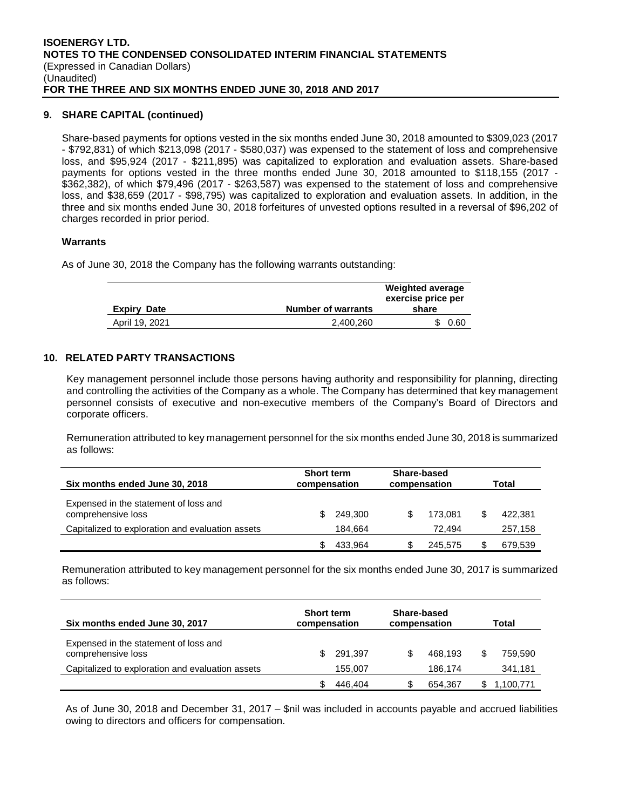## **9. SHARE CAPITAL (continued)**

Share-based payments for options vested in the six months ended June 30, 2018 amounted to \$309,023 (2017 - \$792,831) of which \$213,098 (2017 - \$580,037) was expensed to the statement of loss and comprehensive loss, and \$95,924 (2017 - \$211,895) was capitalized to exploration and evaluation assets. Share-based payments for options vested in the three months ended June 30, 2018 amounted to \$118,155 (2017 - \$362,382), of which \$79,496 (2017 - \$263,587) was expensed to the statement of loss and comprehensive loss, and \$38,659 (2017 - \$98,795) was capitalized to exploration and evaluation assets. In addition, in the three and six months ended June 30, 2018 forfeitures of unvested options resulted in a reversal of \$96,202 of charges recorded in prior period.

## **Warrants**

As of June 30, 2018 the Company has the following warrants outstanding:

|           | exercise price per<br>share |
|-----------|-----------------------------|
| 2.400.260 | 0.60                        |
|           | <b>Number of warrants</b>   |

## **10. RELATED PARTY TRANSACTIONS**

Key management personnel include those persons having authority and responsibility for planning, directing and controlling the activities of the Company as a whole. The Company has determined that key management personnel consists of executive and non-executive members of the Company's Board of Directors and corporate officers.

Remuneration attributed to key management personnel for the six months ended June 30, 2018 is summarized as follows:

| Six months ended June 30, 2018                              | <b>Short term</b><br>compensation |         | Share-based<br>compensation |         | Total |         |
|-------------------------------------------------------------|-----------------------------------|---------|-----------------------------|---------|-------|---------|
| Expensed in the statement of loss and<br>comprehensive loss | S                                 | 249.300 | \$                          | 173.081 |       | 422,381 |
| Capitalized to exploration and evaluation assets            |                                   | 184.664 |                             | 72.494  |       | 257,158 |
|                                                             |                                   | 433.964 |                             | 245,575 |       | 679,539 |

Remuneration attributed to key management personnel for the six months ended June 30, 2017 is summarized as follows:

| Six months ended June 30, 2017                              | <b>Short term</b><br>compensation |         | Share-based<br>compensation |         | Total |          |
|-------------------------------------------------------------|-----------------------------------|---------|-----------------------------|---------|-------|----------|
| Expensed in the statement of loss and<br>comprehensive loss | S.                                | 291.397 | S                           | 468.193 |       | 759.590  |
| Capitalized to exploration and evaluation assets            |                                   | 155.007 |                             | 186.174 |       | 341,181  |
|                                                             |                                   | 446.404 |                             | 654.367 |       | ,100,771 |

As of June 30, 2018 and December 31, 2017 – \$nil was included in accounts payable and accrued liabilities owing to directors and officers for compensation.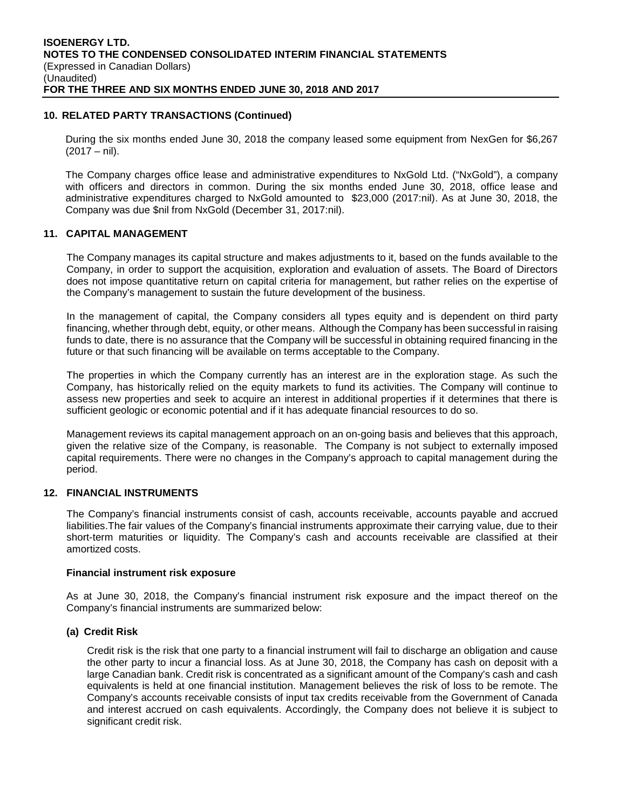## **10. RELATED PARTY TRANSACTIONS (Continued)**

During the six months ended June 30, 2018 the company leased some equipment from NexGen for \$6,267  $(2017 - nil).$ 

The Company charges office lease and administrative expenditures to NxGold Ltd. ("NxGold"), a company with officers and directors in common. During the six months ended June 30, 2018, office lease and administrative expenditures charged to NxGold amounted to \$23,000 (2017:nil). As at June 30, 2018, the Company was due \$nil from NxGold (December 31, 2017:nil).

#### **11. CAPITAL MANAGEMENT**

The Company manages its capital structure and makes adjustments to it, based on the funds available to the Company, in order to support the acquisition, exploration and evaluation of assets. The Board of Directors does not impose quantitative return on capital criteria for management, but rather relies on the expertise of the Company's management to sustain the future development of the business.

In the management of capital, the Company considers all types equity and is dependent on third party financing, whether through debt, equity, or other means. Although the Company has been successful in raising funds to date, there is no assurance that the Company will be successful in obtaining required financing in the future or that such financing will be available on terms acceptable to the Company.

The properties in which the Company currently has an interest are in the exploration stage. As such the Company, has historically relied on the equity markets to fund its activities. The Company will continue to assess new properties and seek to acquire an interest in additional properties if it determines that there is sufficient geologic or economic potential and if it has adequate financial resources to do so.

Management reviews its capital management approach on an on-going basis and believes that this approach, given the relative size of the Company, is reasonable. The Company is not subject to externally imposed capital requirements. There were no changes in the Company's approach to capital management during the period.

#### **12. FINANCIAL INSTRUMENTS**

The Company's financial instruments consist of cash, accounts receivable, accounts payable and accrued liabilities.The fair values of the Company's financial instruments approximate their carrying value, due to their short-term maturities or liquidity. The Company's cash and accounts receivable are classified at their amortized costs.

## **Financial instrument risk exposure**

As at June 30, 2018, the Company's financial instrument risk exposure and the impact thereof on the Company's financial instruments are summarized below:

#### **(a) Credit Risk**

Credit risk is the risk that one party to a financial instrument will fail to discharge an obligation and cause the other party to incur a financial loss. As at June 30, 2018, the Company has cash on deposit with a large Canadian bank. Credit risk is concentrated as a significant amount of the Company's cash and cash equivalents is held at one financial institution. Management believes the risk of loss to be remote. The Company's accounts receivable consists of input tax credits receivable from the Government of Canada and interest accrued on cash equivalents. Accordingly, the Company does not believe it is subject to significant credit risk.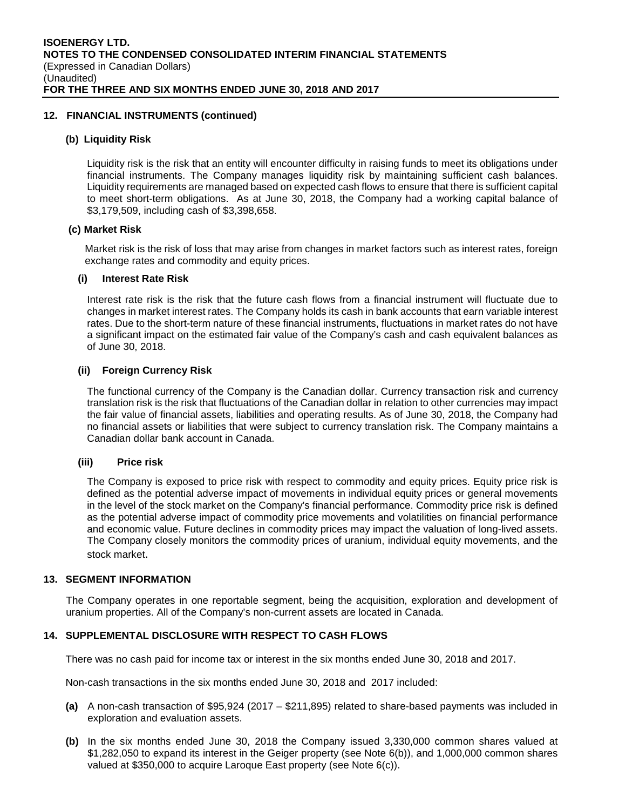## **12. FINANCIAL INSTRUMENTS (continued)**

#### **(b) Liquidity Risk**

Liquidity risk is the risk that an entity will encounter difficulty in raising funds to meet its obligations under financial instruments. The Company manages liquidity risk by maintaining sufficient cash balances. Liquidity requirements are managed based on expected cash flows to ensure that there is sufficient capital to meet short-term obligations. As at June 30, 2018, the Company had a working capital balance of \$3,179,509, including cash of \$3,398,658.

#### **(c) Market Risk**

Market risk is the risk of loss that may arise from changes in market factors such as interest rates, foreign exchange rates and commodity and equity prices.

## **(i) Interest Rate Risk**

Interest rate risk is the risk that the future cash flows from a financial instrument will fluctuate due to changes in market interest rates. The Company holds its cash in bank accounts that earn variable interest rates. Due to the short-term nature of these financial instruments, fluctuations in market rates do not have a significant impact on the estimated fair value of the Company's cash and cash equivalent balances as of June 30, 2018.

## **(ii) Foreign Currency Risk**

The functional currency of the Company is the Canadian dollar. Currency transaction risk and currency translation risk is the risk that fluctuations of the Canadian dollar in relation to other currencies may impact the fair value of financial assets, liabilities and operating results. As of June 30, 2018, the Company had no financial assets or liabilities that were subject to currency translation risk. The Company maintains a Canadian dollar bank account in Canada.

#### **(iii) Price risk**

The Company is exposed to price risk with respect to commodity and equity prices. Equity price risk is defined as the potential adverse impact of movements in individual equity prices or general movements in the level of the stock market on the Company's financial performance. Commodity price risk is defined as the potential adverse impact of commodity price movements and volatilities on financial performance and economic value. Future declines in commodity prices may impact the valuation of long-lived assets. The Company closely monitors the commodity prices of uranium, individual equity movements, and the stock market.

## **13. SEGMENT INFORMATION**

The Company operates in one reportable segment, being the acquisition, exploration and development of uranium properties. All of the Company's non-current assets are located in Canada.

## **14. SUPPLEMENTAL DISCLOSURE WITH RESPECT TO CASH FLOWS**

There was no cash paid for income tax or interest in the six months ended June 30, 2018 and 2017.

Non-cash transactions in the six months ended June 30, 2018 and 2017 included:

- **(a)** A non-cash transaction of \$95,924 (2017 \$211,895) related to share-based payments was included in exploration and evaluation assets.
- **(b)** In the six months ended June 30, 2018 the Company issued 3,330,000 common shares valued at \$1,282,050 to expand its interest in the Geiger property (see Note 6(b)), and 1,000,000 common shares valued at \$350,000 to acquire Laroque East property (see Note 6(c)).